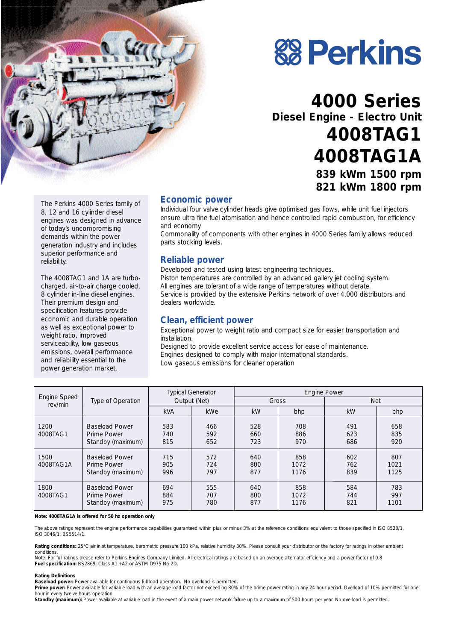



## **4000 Series Diesel Engine - Electro Unit 4008TAG1 4008TAG1A 839 kWm 1500 rpm 821 kWm 1800 rpm**

The Perkins 4000 Series family of 8, 12 and 16 cylinder diesel engines was designed in advance of today's uncompromising demands within the power generation industry and includes superior performance and reliability.

The 4008TAG1 and 1A are turbocharged, air-to-air charge cooled, 8 cylinder in-line diesel engines. Their premium design and specification features provide economic and durable operation as well as exceptional power to weight ratio, improved serviceability, low gaseous emissions, overall performance and reliability essential to the power generation market.

#### **Economic power**

Individual four valve cylinder heads give optimised gas flows, while unit fuel injectors ensure ultra fine fuel atomisation and hence controlled rapid combustion, for efficiency and economy

Commonality of components with other engines in 4000 Series family allows reduced parts stocking levels.

#### **Reliable power**

Developed and tested using latest engineering techniques. Piston temperatures are controlled by an advanced gallery jet cooling system. All engines are tolerant of a wide range of temperatures without derate. Service is provided by the extensive Perkins network of over 4,000 distributors and dealers worldwide.

#### **Clean, efficient power**

Exceptional power to weight ratio and compact size for easier transportation and installation.

Designed to provide excellent service access for ease of maintenance. Engines designed to comply with major international standards. Low gaseous emissions for cleaner operation

| Engine Speed<br>rev/min | Type of Operation                                         | <b>Typical Generator</b><br>Output (Net) |                   | <b>Engine Power</b> |                     |                   |                     |
|-------------------------|-----------------------------------------------------------|------------------------------------------|-------------------|---------------------|---------------------|-------------------|---------------------|
|                         |                                                           |                                          |                   | Gross               |                     | <b>Net</b>        |                     |
|                         |                                                           | <b>kVA</b>                               | <b>kWe</b>        | kW                  | bhp                 | kW                | bhp                 |
| 1200<br>4008TAG1        | <b>Baseload Power</b><br>Prime Power<br>Standby (maximum) | 583<br>740<br>815                        | 466<br>592<br>652 | 528<br>660<br>723   | 708<br>886<br>970   | 491<br>623<br>686 | 658<br>835<br>920   |
| 1500<br>4008TAG1A       | <b>Baseload Power</b><br>Prime Power<br>Standby (maximum) | 715<br>905<br>996                        | 572<br>724<br>797 | 640<br>800<br>877   | 858<br>1072<br>1176 | 602<br>762<br>839 | 807<br>1021<br>1125 |
| 1800<br>4008TAG1        | <b>Baseload Power</b><br>Prime Power<br>Standby (maximum) | 694<br>884<br>975                        | 555<br>707<br>780 | 640<br>800<br>877   | 858<br>1072<br>1176 | 584<br>744<br>821 | 783<br>997<br>1101  |

*Note: 4008TAG1A is offered for 50 hz operation only*

The above ratings represent the engine performance capabilities guaranteed within plus or minus 3% at the reference conditions equivalent to those specified in ISO 8528/1, ISO 3046/1, BS5514/1.

Rating conditions: 25°C air inlet temperature, barometric pressure 100 kPa, relative humidity 30%. Please consult your distributor or the factory for ratings in other ambient conditions.

*Note: For full ratings please refer to Perkins Engines Company Limited. All electrical ratings are based on an average alternator efficiency and a power factor of 0.8* **Fuel specification:** BS2869: Class A1 +A2 or ASTM D975 No 2D.

#### **Rating Definitions**

**Baseload power:** Power available for continuous full load operation. No overload is permitted.

Prime power: Power available for variable load with an average load factor not exceeding 80% of the prime power rating in any 24 hour period. Overload of 10% permitted for one hour in every twelve hours operation

Standby (maximum): Power available at variable load in the event of a main power network failure up to a maximum of 500 hours per year. No overload is permitted.